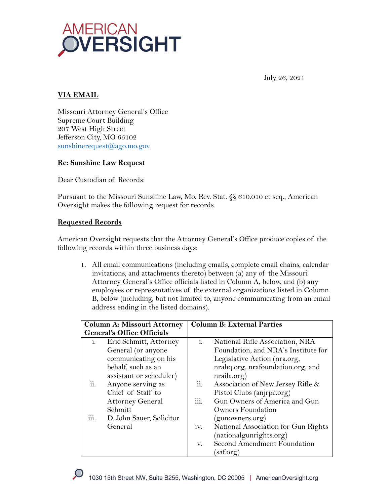

July 26, 2021

### **VIA EMAIL**

Missouri Attorney General's Office Supreme Court Building 207 West High Street Jefferson City, MO 65102  $sunshinerequest@ago.mo.gov$ 

#### **Re: Sunshine Law Request**

Dear Custodian of Records:

Pursuant to the Missouri Sunshine Law, Mo. Rev. Stat. §§ 610.010 et seq., American Oversight makes the following request for records.

### **Requested Records**

American Oversight requests that the Attorney General's Office produce copies of the following records within three business days:

1. All email communications (including emails, complete email chains, calendar invitations, and attachments thereto) between (a) any of the Missouri Attorney General's Office officials listed in Column A, below, and (b) any employees or representatives of the external organizations listed in Column B, below (including, but not limited to, anyone communicating from an email address ending in the listed domains).

| <b>Column A: Missouri Attorney</b> |                          | <b>Column B: External Parties</b> |                                     |
|------------------------------------|--------------------------|-----------------------------------|-------------------------------------|
| <b>General's Office Officials</b>  |                          |                                   |                                     |
| 1.                                 | Eric Schmitt, Attorney   | $i$ .                             | National Rifle Association, NRA     |
|                                    | General (or anyone       |                                   | Foundation, and NRA's Institute for |
|                                    | communicating on his     |                                   | Legislative Action (nra.org,        |
|                                    | behalf, such as an       |                                   | nrahq.org, nrafoundation.org, and   |
|                                    | assistant or scheduler)  |                                   | nraila.org)                         |
| ii.                                | Anyone serving as        | ii.                               | Association of New Jersey Rifle &   |
|                                    | Chief of Staff to        |                                   | Pistol Clubs (anjrpc.org)           |
|                                    | <b>Attorney General</b>  | iii.                              | Gun Owners of America and Gun       |
|                                    | Schmitt                  |                                   | <b>Owners Foundation</b>            |
| iii.                               | D. John Sauer, Solicitor |                                   | (gunowners.org)                     |
|                                    | General                  | iv.                               | National Association for Gun Rights |
|                                    |                          |                                   | (nationalgunrights.org)             |
|                                    |                          | V.                                | Second Amendment Foundation         |
|                                    |                          |                                   | saf.org)                            |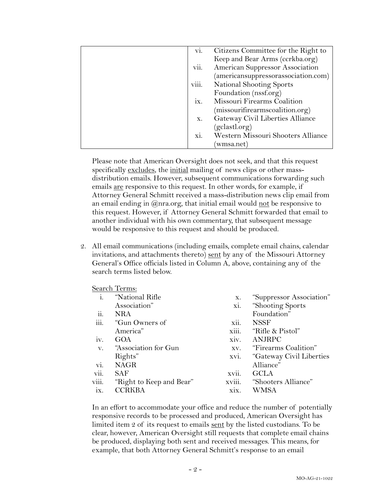| vi.   | Citizens Committee for the Right to    |
|-------|----------------------------------------|
|       | Keep and Bear Arms (ccrkba.org)        |
| vii.  | <b>American Suppressor Association</b> |
|       | (americansuppressorassociation.com)    |
| viii. | <b>National Shooting Sports</b>        |
|       | Foundation (nssf.org)                  |
| ix.   | Missouri Firearms Coalition            |
|       | (missourifirearmscoalition.org)        |
| х.    | Gateway Civil Liberties Alliance       |
|       | (gclastl.org)                          |
| xi.   | Western Missouri Shooters Alliance     |
|       | wmsa.net                               |

Please note that American Oversight does not seek, and that this request specifically excludes, the initial mailing of news clips or other massdistribution emails. However, subsequent communications forwarding such emails <u>are</u> responsive to this request. In other words, for example, if Attorney General Schmitt received a mass-distribution news clip email from an email ending in  $(\partial \rho)$  and  $\partial \rho$ , that initial email would not be responsive to this request. However, if Attorney General Schmitt forwarded that email to another individual with his own commentary, that subsequent message would be responsive to this request and should be produced.

2. All email communications (including emails, complete email chains, calendar invitations, and attachments thereto) sent by any of the Missouri Attorney General's Office officials listed in Column A, above, containing any of the search terms listed below.

|                | Search Terms:            |       |                            |
|----------------|--------------------------|-------|----------------------------|
| $\ddot{i}$ .   | "National Rifle          | х.    | "Suppressor Association"   |
|                | Association"             |       | xi. "Shooting Sports"      |
| ii.            | <b>NRA</b>               |       | Foundation"                |
|                | iii. "Gun Owners of      | XII.  | <b>NSSF</b>                |
|                | America"                 |       | xiii. "Rifle & Pistol"     |
| IV.            | GOA                      |       | xiv. ANJRPC                |
| V <sub>1</sub> | "Association for Gun     |       | xv. "Firearms Coalition"   |
|                | Rights"                  | xvi.  | "Gateway Civil Liberties"  |
| vi.            | <b>NAGR</b>              |       | Alliance"                  |
| vii.           | <b>SAF</b>               | XVII. | <b>GCLA</b>                |
| viii.          | "Right to Keep and Bear" |       | xviii. "Shooters Alliance" |
| ix.            | <b>CCRKBA</b>            | XIX.  | <b>WMSA</b>                |

In an effort to accommodate your office and reduce the number of potentially responsive records to be processed and produced, American Oversight has limited item 2 of its request to emails sent by the listed custodians. To be clear, however, American Oversight still requests that complete email chains be produced, displaying both sent and received messages. This means, for example, that both Attorney General Schmitt's response to an email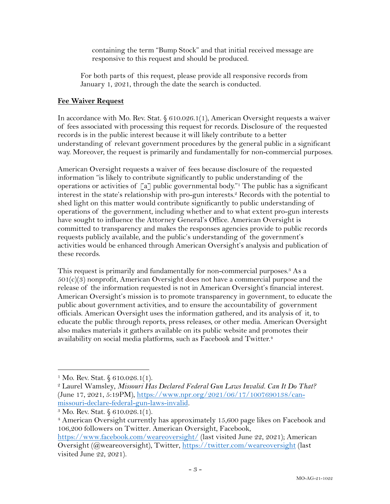containing the term "Bump Stock" and that initial received message are responsive to this request and should be produced.

For both parts of this request, please provide all responsive records from January 1, 2021, through the date the search is conducted.

### **Fee Waiver Request**

In accordance with Mo. Rev. Stat. § 610.026.1(1), American Oversight requests a waiver of fees associated with processing this request for records. Disclosure of the requested records is in the public interest because it will likely contribute to a better understanding of relevant government procedures by the general public in a significant way. Moreover, the request is primarily and fundamentally for non-commercial purposes.

American Oversight requests a waiver of fees because disclosure of the requested information "is likely to contribute significantly to public understanding of the operations or activities of  $\lceil a \rceil$  public governmental body."<sup>1</sup> The public has a significant interest in the state's relationship with pro-gun interests. <sup>2</sup> Records with the potential to shed light on this matter would contribute significantly to public understanding of operations of the government, including whether and to what extent pro-gun interests have sought to influence the Attorney General's Office. American Oversight is committed to transparency and makes the responses agencies provide to public records requests publicly available, and the public's understanding of the government's activities would be enhanced through American Oversight's analysis and publication of these records.

This request is primarily and fundamentally for non-commercial purposes.<sup>3</sup> As a  $501(c)(3)$  nonprofit, American Oversight does not have a commercial purpose and the release of the information requested is not in American Oversight's financial interest. American Oversight's mission is to promote transparency in government, to educate the public about government activities, and to ensure the accountability of government officials. American Oversight uses the information gathered, and its analysis of it, to educate the public through reports, press releases, or other media. American Oversight also makes materials it gathers available on its public website and promotes their availability on social media platforms, such as Facebook and Twitter.4

<sup>&</sup>lt;sup>1</sup> Mo. Rev. Stat. § 610.026.1(1).

<sup>2</sup> Laurel Wamsley, *Missouri Has Declared Federal Gun Laws Invalid. Can It Do That?* (June 17, 2021, 5:19PM), https://www.npr.org/2021/06/17/1007690138/canmissouri-declare-federal-gun-laws-invalid.

<sup>3</sup> Mo. Rev. Stat. § 610.026.1(1).

<sup>&</sup>lt;sup>4</sup> American Oversight currently has approximately 15,600 page likes on Facebook and 106,200 followers on Twitter. American Oversight, Facebook,

https://www.facebook.com/weareoversight/ (last visited June 22, 2021); American Oversight (@weareoversight), Twitter, https://twitter.com/weareoversight (last visited June 22, 2021).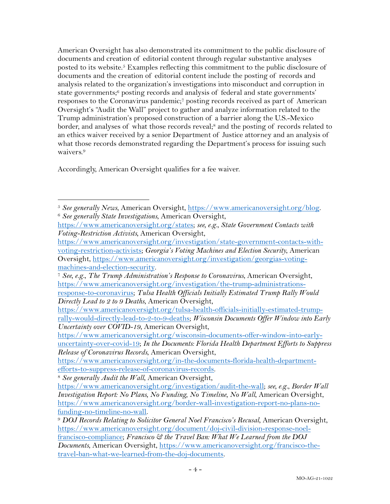American Oversight has also demonstrated its commitment to the public disclosure of documents and creation of editorial content through regular substantive analyses posted to its website. <sup>5</sup> Examples reflecting this commitment to the public disclosure of documents and the creation of editorial content include the posting of records and analysis related to the organization's investigations into misconduct and corruption in state governments; <sup>6</sup> posting records and analysis of federal and state governments' responses to the Coronavirus pandemic;<sup>7</sup> posting records received as part of American Oversight's "Audit the Wall" project to gather and analyze information related to the Trump administration's proposed construction of a barrier along the U.S.-Mexico border, and analyses of what those records reveal;8 and the posting of records related to an ethics waiver received by a senior Department of Justice attorney and an analysis of what those records demonstrated regarding the Department's process for issuing such waivers.9

Accordingly, American Oversight qualifies for a fee waiver.

https://www.americanoversight.org/states; *see, e.g.*, *State Government Contacts with Voting-Restriction Activists,* American Oversight,

<sup>5</sup> *See generally News*, American Oversight, https://www.americanoversight.org/blog. 6 *See generally State Investigations*, American Oversight,

https://www.americanoversight.org/investigation/state-government-contacts-withvoting-restriction-activists; *Georgia's Voting Machines and Election Security*, American Oversight, https://www.americanoversight.org/investigation/georgias-votingmachines-and-election-security. 7 *See, e.g.*, *The Trump Administration's Response to Coronavirus*, American Oversight,

https://www.americanoversight.org/investigation/the-trump-administrations-

response-to-coronavirus; *Tulsa Health Officials Initially Estimated Trump Rally Would Directly Lead to 2 to 9 Deaths*, American Oversight,

https://www.americanoversight.org/tulsa-health-officials-initially-estimated-trumprally-would-directly-lead-to-2-to-9-deaths; *Wisconsin Documents Offer Window into Early Uncertainty over COVID-19*, American Oversight,

https://www.americanoversight.org/wisconsin-documents-offer-window-into-earlyuncertainty-over-covid-19; *In the Documents: Florida Health Department Efforts to Suppress Release of Coronavirus Records*, American Oversight,

https://www.americanoversight.org/in-the-documents-florida-health-departmentefforts-to-suppress-release-of-coronavirus-records. 8 *See generally Audit the Wall*, American Oversight,

https://www.americanoversight.org/investigation/audit-the-wall; *see, e.g.*, *Border Wall Investigation Report: No Plans, No Funding, No Timeline, No Wall*, American Oversight, https://www.americanoversight.org/border-wall-investigation-report-no-plans-nofunding-no-timeline-no-wall. 9 *DOJ Records Relating to Solicitor General Noel Francisco's Recusal*, American Oversight,

https://www.americanoversight.org/document/doj-civil-division-response-noelfrancisco-compliance; *Francisco & the Travel Ban: What We Learned from the DOJ Documents*, American Oversight, https://www.americanoversight.org/francisco-thetravel-ban-what-we-learned-from-the-doj-documents.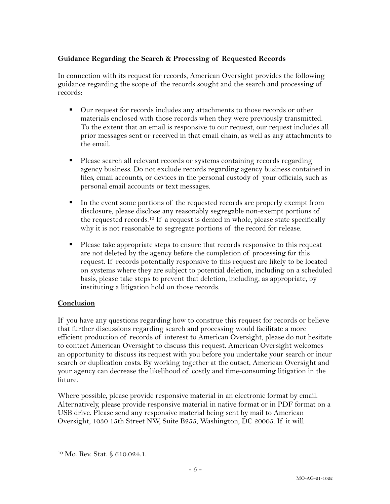## **Guidance Regarding the Search & Processing of Requested Records**

In connection with its request for records, American Oversight provides the following guidance regarding the scope of the records sought and the search and processing of records:

- Our request for records includes any attachments to those records or other materials enclosed with those records when they were previously transmitted. To the extent that an email is responsive to our request, our request includes all prior messages sent or received in that email chain, as well as any attachments to the email.
- § Please search all relevant records or systems containing records regarding agency business. Do not exclude records regarding agency business contained in files, email accounts, or devices in the personal custody of your officials, such as personal email accounts or text messages.
- § In the event some portions of the requested records are properly exempt from disclosure, please disclose any reasonably segregable non-exempt portions of the requested records.10 If a request is denied in whole, please state specifically why it is not reasonable to segregate portions of the record for release.
- Please take appropriate steps to ensure that records responsive to this request are not deleted by the agency before the completion of processing for this request. If records potentially responsive to this request are likely to be located on systems where they are subject to potential deletion, including on a scheduled basis, please take steps to prevent that deletion, including, as appropriate, by instituting a litigation hold on those records.

# **Conclusion**

If you have any questions regarding how to construe this request for records or believe that further discussions regarding search and processing would facilitate a more efficient production of records of interest to American Oversight, please do not hesitate to contact American Oversight to discuss this request. American Oversight welcomes an opportunity to discuss its request with you before you undertake your search or incur search or duplication costs. By working together at the outset, American Oversight and your agency can decrease the likelihood of costly and time-consuming litigation in the future.

Where possible, please provide responsive material in an electronic format by email. Alternatively, please provide responsive material in native format or in PDF format on a USB drive. Please send any responsive material being sent by mail to American Oversight, 1030 15th Street NW, Suite B255, Washington, DC 20005. If it will

<sup>10</sup> Mo. Rev. Stat. § 610.024.1.